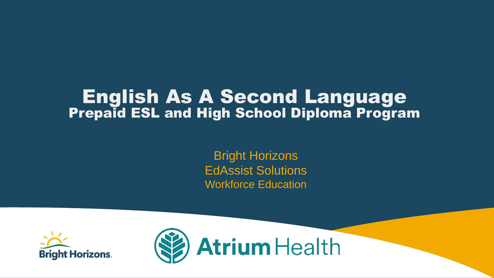### English As A Second Language Prepaid ESL and High School Diploma Program

Bright Horizons EdAssist Solutions Workforce Education



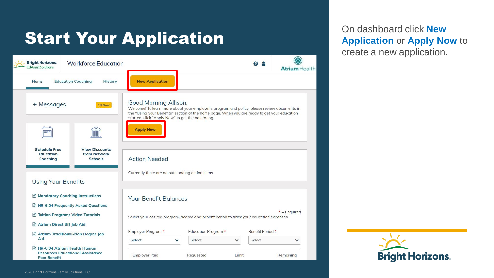# Start Your Application

| <b>Bright Horizons</b><br>EdAssist Solutions                | <b>Workforce Education</b>                   |                                                                                                                                                                                                                                                                             |                     | $\Omega$               | <b>Atrium</b> Health |
|-------------------------------------------------------------|----------------------------------------------|-----------------------------------------------------------------------------------------------------------------------------------------------------------------------------------------------------------------------------------------------------------------------------|---------------------|------------------------|----------------------|
| Home                                                        | <b>Education Coaching</b><br><b>History</b>  | <b>New Application</b>                                                                                                                                                                                                                                                      |                     |                        |                      |
| + Messages                                                  | 10 New                                       | Good Morning Allison,<br>Welcome! To learn more about your employer's program and policy, please review documents in<br>the "Using your Benefits" section of the home page. When you are ready to get your education<br>started, click "Apply Now" to get the ball rolling. |                     |                        |                      |
| 000                                                         |                                              | <b>Apply Now</b>                                                                                                                                                                                                                                                            |                     |                        |                      |
| <b>Schedule Free</b>                                        | <b>View Discounts</b>                        |                                                                                                                                                                                                                                                                             |                     |                        |                      |
| <b>Education</b><br>Coaching                                | from Network<br><b>Schools</b>               | <b>Action Needed</b>                                                                                                                                                                                                                                                        |                     |                        |                      |
|                                                             |                                              | Currently there are no outstanding action items.                                                                                                                                                                                                                            |                     |                        |                      |
| <b>Using Your Benefits</b>                                  |                                              |                                                                                                                                                                                                                                                                             |                     |                        |                      |
|                                                             |                                              |                                                                                                                                                                                                                                                                             |                     |                        |                      |
|                                                             | $\triangleq$ Mandatory Coaching Instructions | <b>Your Benefit Balances</b>                                                                                                                                                                                                                                                |                     |                        |                      |
|                                                             | <b>E HR-6.04 Frequently Asked Questions</b>  |                                                                                                                                                                                                                                                                             |                     |                        |                      |
| Tuition Programs Video Tutorials                            |                                              | Select your desired program, degree and benefit period to track your education expenses.                                                                                                                                                                                    |                     |                        | $*$ = Required       |
| Atrium Direct Bill Job Aid                                  |                                              |                                                                                                                                                                                                                                                                             |                     |                        |                      |
|                                                             | Atrium Traditional-Non Degree Job            | Employer Program *                                                                                                                                                                                                                                                          | Education Program * | Benefit Period *       |                      |
| Aid                                                         |                                              | Select<br>$\checkmark$                                                                                                                                                                                                                                                      | Select              | Select<br>$\checkmark$ | $\checkmark$         |
| <b>E</b> HR-6.04 Atrium Health Human<br><b>Plan Benefit</b> | <b>Resources Educational Assistance</b>      | <b>Employer Paid</b>                                                                                                                                                                                                                                                        | Requested           | Limit                  | Remaining            |

On dashboard click **New Application** or **Apply Now** to create a new application.

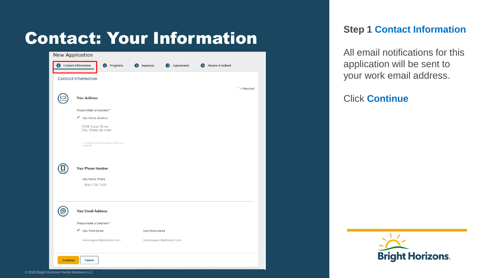# Contact: Your Information

| <b>New Application</b>           |                                                       |                       |                          |                          |                |
|----------------------------------|-------------------------------------------------------|-----------------------|--------------------------|--------------------------|----------------|
| <b>Contact Information</b>       | 2 Programs                                            | <b>3</b> Expenses     | 4 Agreements             | <b>6</b> Review & Submit |                |
|                                  |                                                       |                       |                          |                          |                |
| <b>Contact Information</b>       |                                                       |                       |                          |                          |                |
|                                  |                                                       |                       |                          |                          | $*$ = Required |
| <b>Your Address</b>              |                                                       |                       |                          |                          |                |
|                                  | Please Make a Selection *                             |                       |                          |                          |                |
| V Use Home Address               |                                                       |                       |                          |                          |                |
|                                  | 1234 Some Stree<br>City, State zip code               |                       |                          |                          |                |
|                                  | To change an address please contact your<br>employer. |                       |                          |                          |                |
| <b>Your Phone Number</b>         | Use Home Phone<br>456-778-1000                        |                       |                          |                          |                |
| <b>Your Email Address</b>        |                                                       |                       |                          |                          |                |
|                                  | Please Make a Selection *                             |                       |                          |                          |                |
| V Use Work Email                 |                                                       | <b>Use Home Email</b> |                          |                          |                |
|                                  | tamssupport@edassist.com                              |                       | tamssupport@edassist.com |                          |                |
|                                  |                                                       |                       |                          |                          |                |
| <b>Continue</b><br><b>Cancel</b> |                                                       |                       |                          |                          |                |

### **Step 1 Contact Information**

All email notifications for this application will be sent to your work email address.

### Click **Continue**

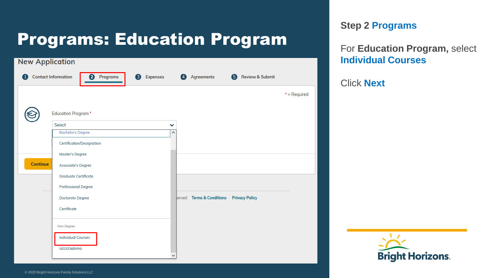# Programs: Education Program



**Step 2 Programs**

For **Education Program,** select **Individual Courses**

Click **Next**

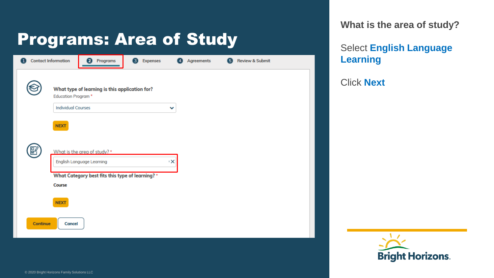### Programs: Area of Study

| $\mathbf{1}$    | <b>Contact Information</b>                                      | Programs<br>2                                                                                                       | <b>3</b> Expenses |              | Agreements | (5) | <b>Review &amp; Submit</b> |
|-----------------|-----------------------------------------------------------------|---------------------------------------------------------------------------------------------------------------------|-------------------|--------------|------------|-----|----------------------------|
|                 | Education Program *<br><b>Individual Courses</b><br><b>NEXT</b> | What type of learning is this application for?                                                                      |                   | $\checkmark$ |            |     |                            |
| ₽               | Course                                                          | What is the area of study?*<br><b>English Language Learning</b><br>What Category best fits this type of learning? * |                   | ×,           |            |     |                            |
| <b>Continue</b> | <b>NEXT</b><br><b>Cancel</b>                                    |                                                                                                                     |                   |              |            |     |                            |

**What is the area of study?**

### Select **English Language Learning**

Click **Next**

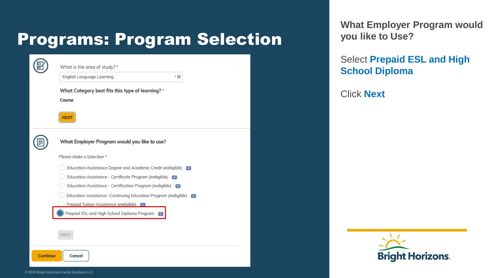### Programs: Program Selection

 $\textcircled{\tiny{\textsf{E}}}$ What is the area of study? \* English Language Learning  $\mathsf{X}$ What Category best fits this type of learning? \* Course **NEXT** ◉ What Employer Program would you like to use? Please Make a Selection \* Education Assistance Degree and Academic Credit (ineligible) Education Assistance - Certificate Program (ineligible) Education Assistance - Certification Program (ineligible) Education Assistance - Continuing Education Program (ineligible) Prepaid Tuition Assistance (ineligible) Prepaid ESL and High School Diploma Program **NEXT** 

**What Employer Program would you like to Use?** 

### Select **Prepaid ESL and High School Diploma**

Click **Next**



**Cancel** 

Continue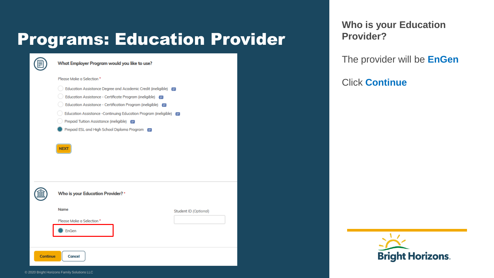### Programs: Education Provider

(目)

(論

What Employer Program would you like to use?

#### Please Make a Selection \*

- Education Assistance Degree and Academic Credit (ineligible)
- Education Assistance Certificate Program (ineligible)
- Education Assistance Certification Program (ineligible)
- Education Assistance Continuing Education Program (ineligible)
- Prepaid Tuition Assistance (ineligible)
- Prepaid ESL and High School Diploma Program



### Who is your Education Provider?\*

**Name** 





**Cancel** 



**Who is your Education Provider?**

The provider will be **EnGen**

Click **Continue**



**Continue**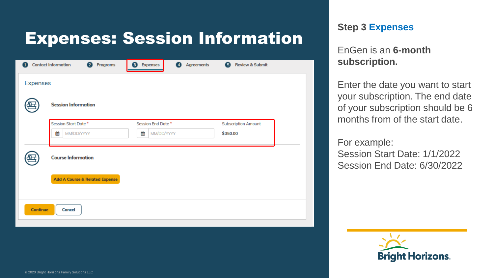## Expenses: Session Information

| <b>Contact Information</b><br>2 Programs<br><b>8</b> Expenses<br>Agreements<br>5 Review & Submit<br>$\mathbf{I}$<br>$\left( 4\right)$ |                                           |                    |                            |  |  |  |  |  |  |
|---------------------------------------------------------------------------------------------------------------------------------------|-------------------------------------------|--------------------|----------------------------|--|--|--|--|--|--|
| <b>Expenses</b>                                                                                                                       |                                           |                    |                            |  |  |  |  |  |  |
|                                                                                                                                       | <b>Session Information</b>                |                    |                            |  |  |  |  |  |  |
|                                                                                                                                       | Session Start Date*                       | Session End Date * | <b>Subscription Amount</b> |  |  |  |  |  |  |
|                                                                                                                                       | 鱛<br>MM/DD/YYYY                           | 巤<br>MM/DD/YYYY    | \$350.00                   |  |  |  |  |  |  |
|                                                                                                                                       | <b>Course Information</b>                 |                    |                            |  |  |  |  |  |  |
|                                                                                                                                       | <b>Add A Course &amp; Related Expense</b> |                    |                            |  |  |  |  |  |  |
| <b>Continue</b><br><b>Cancel</b>                                                                                                      |                                           |                    |                            |  |  |  |  |  |  |

### **Step 3 Expenses**

EnGen is an **6-month subscription.**

Enter the date you want to start your subscription. The end date of your subscription should be 6 months from of the start date.

#### For example:

Session Start Date: 1/1/2022 Session End Date: 6/30/2022

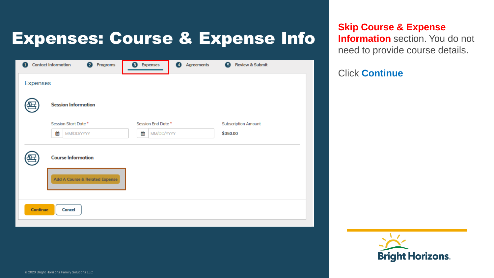## Expenses: Course & Expense Info

| <b>Contact Information</b><br>Agreements<br><b>Review &amp; Submit</b><br>Programs<br><b>Expenses</b><br>$\mathbf{2}$<br>3<br>(5)<br>$\left( 4\right)$<br>11 |                                |                    |  |                            |  |  |  |  |
|--------------------------------------------------------------------------------------------------------------------------------------------------------------|--------------------------------|--------------------|--|----------------------------|--|--|--|--|
|                                                                                                                                                              | <b>Expenses</b>                |                    |  |                            |  |  |  |  |
|                                                                                                                                                              | <b>Session Information</b>     |                    |  |                            |  |  |  |  |
|                                                                                                                                                              | Session Start Date *           | Session End Date * |  | <b>Subscription Amount</b> |  |  |  |  |
|                                                                                                                                                              | 巤<br>MM/DD/YYYY                | 龤<br>MM/DD/YYYY    |  | \$350.00                   |  |  |  |  |
|                                                                                                                                                              | <b>Course Information</b>      |                    |  |                            |  |  |  |  |
|                                                                                                                                                              | Add A Course & Related Expense |                    |  |                            |  |  |  |  |
| <b>Continue</b>                                                                                                                                              | <b>Cancel</b>                  |                    |  |                            |  |  |  |  |

**Skip Course & Expense Information** section. You do not need to provide course details.

#### Click **Continue**

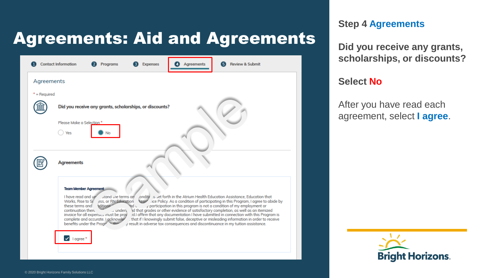# Agreements: Aid and Agreements



#### **Step 4 Agreements**

**Did you receive any grants, scholarships, or discounts?** 

### **Select No**

After you have read each agreement, select **I agree**.

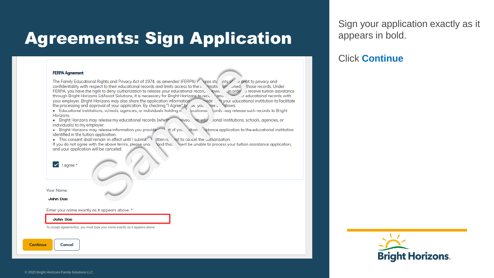### Agreements: Sign Application

#### **FERPA Agreement**

richt to privacy and Privacy Act of 1974, as amended (FERPA) e vies stu nts of stink to privacy and confidentiality with respect to their educational records and limits access to the K *smatic* cor uned those records. Under FERPA you have the right to deny authorization to release your educational record-**HOWE** in order receive tuition assistance through Bright Horizons EdAssist Solutions, it is necessary for Bright Horizons to rece ar educational records with ana vour employer. Bright Horizons may also share the application information. ide th your equaational institution to facilitate **Tee L** Sllows: the processing and approval of your application. By checking "I Agree" be w. you

• Educational institutions, schools, agencies, or individuals holding m tords .nay release such records to Bright ucational Horizons.

• Bright Horizons may release my educational records (whether m edu ional institutions, schools, agencies, or eivea individuals) to my employer.

• Bright Horizons may release information you provide vition vistance application to the educational institution t of you identified in the tuition application.

• This consent shall remain in effect until I submit ritten re st to cancel the cuthorization.

If you do not agree with the above terms, please uno. and that will be unable to process your tuition assistance application. and your application will be canceled.

 $\vee$  | agree \*

Your Name:

John Doe

Enter your name exactly as it appears above. \*

John Doe

To accept agreement(s), you must type your name exactly as it appears above.

**Continue Cancel**  Sign your application exactly as it appears in bold.

#### Click **Continue**

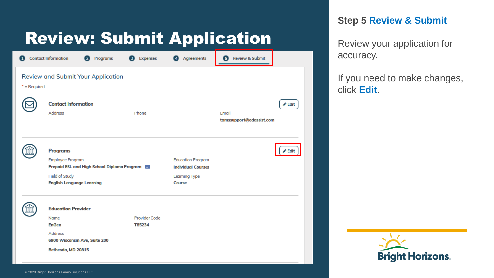## Review: Submit Application

| 11                                                   | <b>Contact Information</b><br>2 Programs                                                                                                          | <b>Expenses</b><br>I 3 I | Agreements<br>[4]                                                                       | <b>Review &amp; Submit</b><br>61  |                            |
|------------------------------------------------------|---------------------------------------------------------------------------------------------------------------------------------------------------|--------------------------|-----------------------------------------------------------------------------------------|-----------------------------------|----------------------------|
| Review and Submit Your Application<br>$*$ = Required |                                                                                                                                                   |                          |                                                                                         |                                   |                            |
|                                                      | <b>Contact Information</b><br><b>Address</b>                                                                                                      | Phone                    |                                                                                         | Email<br>tamssupport@edassist.com | $\blacktriangleright$ Edit |
|                                                      | <b>Programs</b><br><b>Employee Program</b><br>Prepaid ESL and High School Diploma Program 日<br>Field of Study<br><b>English Language Learning</b> |                          | <b>Education Program</b><br><b>Individual Courses</b><br>Learning Type<br><b>Course</b> |                                   |                            |
|                                                      | <b>Education Provider</b><br>Name<br><b>EnGen</b><br>Address<br>6900 Wisconsin Ave, Suite 200<br>Bethesda, MD 20815                               | Provider Code<br>T85234  |                                                                                         |                                   |                            |

### **Step 5 Review & Submit**

Review your application for accuracy.

If you need to make changes, click **Edit**.

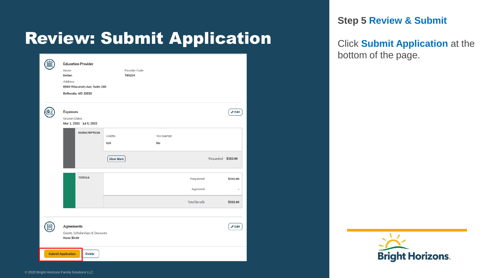# Review: Submit Application

|                                            | <b>Education Provider</b><br>Name<br><b>EnGen</b><br>Address<br>6900 Wisconsin Ave, Suite 200<br>Bethesda, MD 20815 | Provider Code<br><b>T85234</b> |                                |                       |                            |  |
|--------------------------------------------|---------------------------------------------------------------------------------------------------------------------|--------------------------------|--------------------------------|-----------------------|----------------------------|--|
|                                            | <b>Expenses</b><br><b>Session Dates</b><br>Mar 1, 2022 - Jul 6, 2022<br><b>SUBSCRIPTION</b>                         | Credits<br>N/A                 | <b>Tax Exempt</b><br><b>No</b> |                       | $\blacktriangleright$ Edit |  |
|                                            |                                                                                                                     | <b>View More</b>               |                                | Requested \$350.00    |                            |  |
|                                            | <b>TOTALS</b>                                                                                                       |                                |                                | Requested<br>Approved | \$350.00                   |  |
|                                            |                                                                                                                     |                                |                                | <b>Total Benefit</b>  | \$350.00                   |  |
|                                            | <b>Agreements</b><br>Grants, Scholarships & Discounts<br><b>None \$0.00</b>                                         |                                |                                |                       | $\blacktriangleright$ Edit |  |
| <b>Submit Application</b><br><b>Delete</b> |                                                                                                                     |                                |                                |                       |                            |  |

#### **Step 5 Review & Submit**

Click **Submit Application** at the bottom of the page.

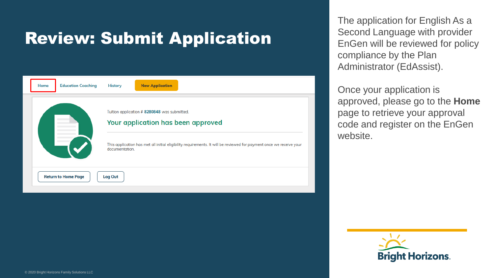# Review: Submit Application



The application for English As a Second Language with provider EnGen will be reviewed for policy compliance by the Plan Administrator (EdAssist).

Once your application is approved, please go to the **Home**  page to retrieve your approval code and register on the EnGen website.

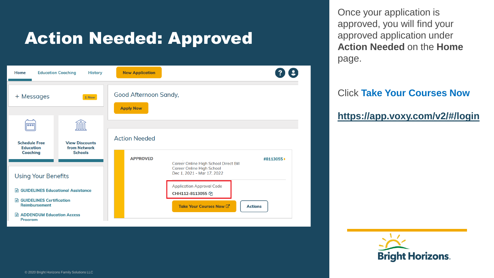# Action Needed: Approved

2 Q **New Application** Home **Education Coaching History** Good Afternoon Sandy. + Messages 1 New **Apply Now** 圇 m **Action Needed Schedule Free View Discounts Education** from Network **Coaching Schools APPROVED** #8113055) Career Online High School Direct Bill **Career Online High School** Dec 1, 2021 - Mar 17, 2022 **Using Your Benefits Application Approval Code** GUIDELINES Educational Assistance CHH112-8113055 @ GUIDELINES Certification **Reimbursement** Take Your Courses Now [A] **Actions** ADDENDUM Education Access Program

Once your application is approved, you will find your approved application under **Action Needed** on the **Home** page.

Click **Take Your Courses Now**

**<https://app.voxy.com/v2/#/login>**

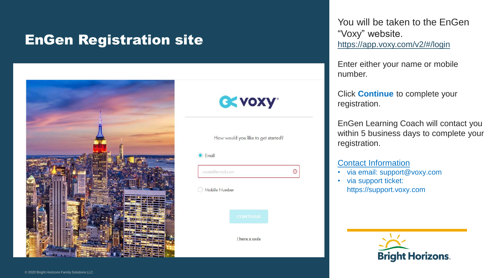### EnGen Registration site



**CE VOXY** 

How would you like to get started?

#### $\odot$  Email

name@email.com  $\odot$ 

#### Mobile Number



I have a code

You will be taken to the EnGen "Voxy" website. <https://app.voxy.com/v2/#/login>

Enter either your name or mobile number.

Click **Continue** to complete your registration.

EnGen Learning Coach will contact you within 5 business days to complete your registration.

#### Contact Information

• via email: support@voxy.com

• via support ticket: https://support.voxy.com